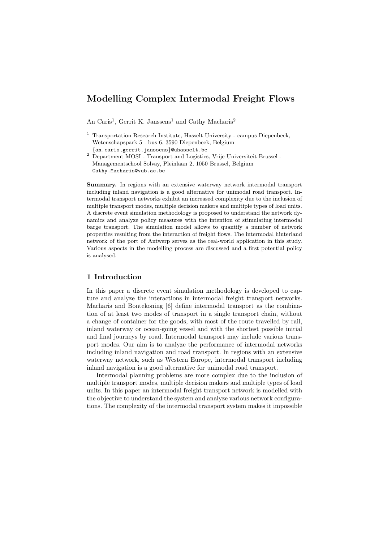# Modelling Complex Intermodal Freight Flows

An Caris<sup>1</sup>, Gerrit K. Janssens<sup>1</sup> and Cathy Macharis<sup>2</sup>

- <sup>1</sup> Transportation Research Institute, Hasselt University campus Diepenbeek, Wetenschapspark 5 - bus 6, 3590 Diepenbeek, Belgium {an.caris,gerrit.janssens}@uhasselt.be
- <sup>2</sup> Department MOSI Transport and Logistics, Vrije Universiteit Brussel Managementschool Solvay, Pleinlaan 2, 1050 Brussel, Belgium Cathy.Macharis@vub.ac.be

Summary. In regions with an extensive waterway network intermodal transport including inland navigation is a good alternative for unimodal road transport. Intermodal transport networks exhibit an increased complexity due to the inclusion of multiple transport modes, multiple decision makers and multiple types of load units. A discrete event simulation methodology is proposed to understand the network dynamics and analyze policy measures with the intention of stimulating intermodal barge transport. The simulation model allows to quantify a number of network properties resulting from the interaction of freight flows. The intermodal hinterland network of the port of Antwerp serves as the real-world application in this study. Various aspects in the modelling process are discussed and a first potential policy is analysed.

### 1 Introduction

In this paper a discrete event simulation methodology is developed to capture and analyze the interactions in intermodal freight transport networks. Macharis and Bontekoning [6] define intermodal transport as the combination of at least two modes of transport in a single transport chain, without a change of container for the goods, with most of the route travelled by rail, inland waterway or ocean-going vessel and with the shortest possible initial and final journeys by road. Intermodal transport may include various transport modes. Our aim is to analyze the performance of intermodal networks including inland navigation and road transport. In regions with an extensive waterway network, such as Western Europe, intermodal transport including inland navigation is a good alternative for unimodal road transport.

Intermodal planning problems are more complex due to the inclusion of multiple transport modes, multiple decision makers and multiple types of load units. In this paper an intermodal freight transport network is modelled with the objective to understand the system and analyze various network configurations. The complexity of the intermodal transport system makes it impossible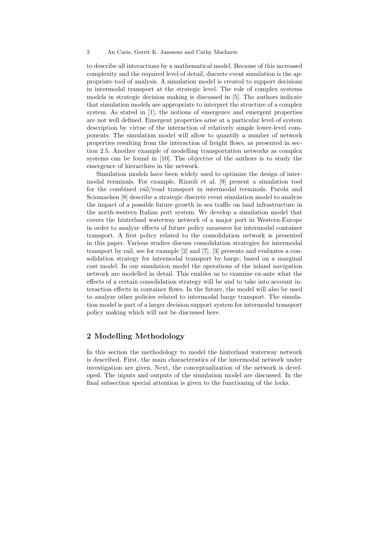to describe all interactions by a mathematical model. Because of this increased complexity and the required level of detail, discrete event simulation is the appropriate tool of analysis. A simulation model is created to support decisions in intermodal transport at the strategic level. The role of complex systems models in strategic decision making is discussed in [5]. The authors indicate that simulation models are appropriate to interpret the structure of a complex system. As stated in [1], the notions of emergence and emergent properties are not well defined. Emergent properties arise at a particular level of system description by virtue of the interaction of relatively simple lower-level components. The simulation model will allow to quantify a number of network properties resulting from the interaction of freight flows, as presented in section 2.5. Another example of modelling transportation networks as complex systems can be found in [10]. The objective of the authors is to study the emergence of hierarchies in the network.

Simulation models have been widely used to optimize the design of intermodal terminals. For example, Rizzoli et al. [9] present a simulation tool for the combined rail/road transport in intermodal terminals. Parola and Sciomachen [8] describe a strategic discrete event simulation model to analyze the impact of a possible future growth in sea traffic on land infrastructure in the north-western Italian port system. We develop a simulation model that covers the hinterland waterway network of a major port in Western-Europe in order to analyze effects of future policy measures for intermodal container transport. A first policy related to the consolidation network is presented in this paper. Various studies discuss consolidation strategies for intermodal transport by rail, see for example [2] and [7]. [3] presents and evaluates a consolidation strategy for intermodal transport by barge, based on a marginal cost model. In our simulation model the operations of the inland navigation network are modelled in detail. This enables us to examine ex-ante what the effects of a certain consolidation strategy will be and to take into account interaction effects in container flows. In the future, the model will also be used to analyze other policies related to intermodal barge transport. The simulation model is part of a larger decision support system for intermodal transport policy making which will not be discussed here.

### 2 Modelling Methodology

In this section the methodology to model the hinterland waterway network is described. First, the main characteristics of the intermodal network under investigation are given. Next, the conceptualization of the network is developed. The inputs and outputs of the simulation model are discussed. In the final subsection special attention is given to the functioning of the locks.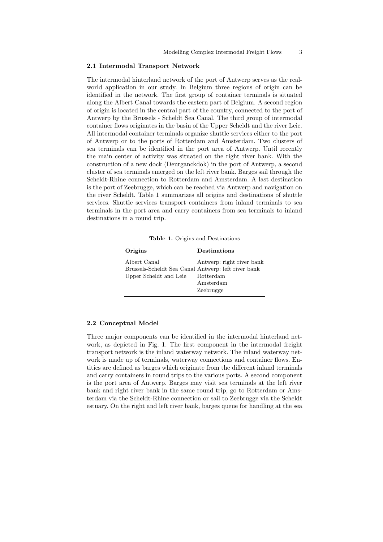### 2.1 Intermodal Transport Network

The intermodal hinterland network of the port of Antwerp serves as the realworld application in our study. In Belgium three regions of origin can be identified in the network. The first group of container terminals is situated along the Albert Canal towards the eastern part of Belgium. A second region of origin is located in the central part of the country, connected to the port of Antwerp by the Brussels - Scheldt Sea Canal. The third group of intermodal container flows originates in the basin of the Upper Scheldt and the river Leie. All intermodal container terminals organize shuttle services either to the port of Antwerp or to the ports of Rotterdam and Amsterdam. Two clusters of sea terminals can be identified in the port area of Antwerp. Until recently the main center of activity was situated on the right river bank. With the construction of a new dock (Deurganckdok) in the port of Antwerp, a second cluster of sea terminals emerged on the left river bank. Barges sail through the Scheldt-Rhine connection to Rotterdam and Amsterdam. A last destination is the port of Zeebrugge, which can be reached via Antwerp and navigation on the river Scheldt. Table 1 summarizes all origins and destinations of shuttle services. Shuttle services transport containers from inland terminals to sea terminals in the port area and carry containers from sea terminals to inland destinations in a round trip.

Table 1. Origins and Destinations

| Origins                                                                                       | Destinations                                                     |
|-----------------------------------------------------------------------------------------------|------------------------------------------------------------------|
| Albert Canal<br>Brussels-Scheldt Sea Canal Antwerp: left river bank<br>Upper Scheldt and Leie | Antwerp: right river bank<br>Rotterdam<br>Amsterdam<br>Zeebrugge |

#### 2.2 Conceptual Model

Three major components can be identified in the intermodal hinterland network, as depicted in Fig. 1. The first component in the intermodal freight transport network is the inland waterway network. The inland waterway network is made up of terminals, waterway connections and container flows. Entities are defined as barges which originate from the different inland terminals and carry containers in round trips to the various ports. A second component is the port area of Antwerp. Barges may visit sea terminals at the left river bank and right river bank in the same round trip, go to Rotterdam or Amsterdam via the Scheldt-Rhine connection or sail to Zeebrugge via the Scheldt estuary. On the right and left river bank, barges queue for handling at the sea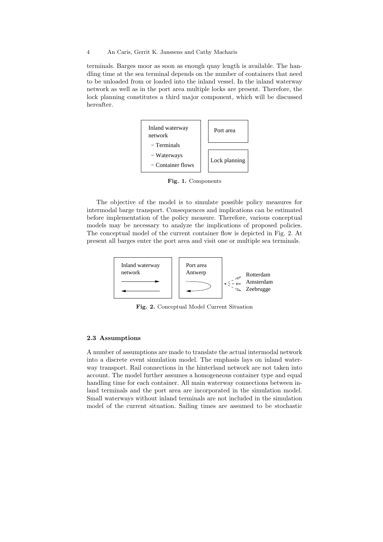terminals. Barges moor as soon as enough quay length is available. The handling time at the sea terminal depends on the number of containers that need to be unloaded from or loaded into the inland vessel. In the inland waterway network as well as in the port area multiple locks are present. Therefore, the lock planning constitutes a third major component, which will be discussed hereafter.



Fig. 1. Components

The objective of the model is to simulate possible policy measures for intermodal barge transport. Consequences and implications can be estimated before implementation of the policy measure. Therefore, various conceptual models may be necessary to analyze the implications of proposed policies. The conceptual model of the current container flow is depicted in Fig. 2. At present all barges enter the port area and visit one or multiple sea terminals.



Fig. 2. Conceptual Model Current Situation

#### 2.3 Assumptions

A number of assumptions are made to translate the actual intermodal network into a discrete event simulation model. The emphasis lays on inland waterway transport. Rail connections in the hinterland network are not taken into account. The model further assumes a homogeneous container type and equal handling time for each container. All main waterway connections between inland terminals and the port area are incorporated in the simulation model. Small waterways without inland terminals are not included in the simulation model of the current situation. Sailing times are assumed to be stochastic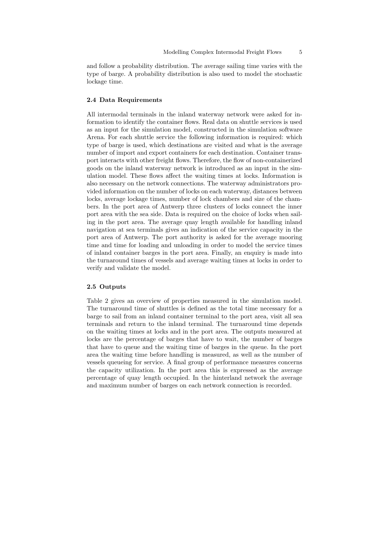and follow a probability distribution. The average sailing time varies with the type of barge. A probability distribution is also used to model the stochastic lockage time.

#### 2.4 Data Requirements

All intermodal terminals in the inland waterway network were asked for information to identify the container flows. Real data on shuttle services is used as an input for the simulation model, constructed in the simulation software Arena. For each shuttle service the following information is required: which type of barge is used, which destinations are visited and what is the average number of import and export containers for each destination. Container transport interacts with other freight flows. Therefore, the flow of non-containerized goods on the inland waterway network is introduced as an input in the simulation model. These flows affect the waiting times at locks. Information is also necessary on the network connections. The waterway administrators provided information on the number of locks on each waterway, distances between locks, average lockage times, number of lock chambers and size of the chambers. In the port area of Antwerp three clusters of locks connect the inner port area with the sea side. Data is required on the choice of locks when sailing in the port area. The average quay length available for handling inland navigation at sea terminals gives an indication of the service capacity in the port area of Antwerp. The port authority is asked for the average mooring time and time for loading and unloading in order to model the service times of inland container barges in the port area. Finally, an enquiry is made into the turnaround times of vessels and average waiting times at locks in order to verify and validate the model.

#### 2.5 Outputs

Table 2 gives an overview of properties measured in the simulation model. The turnaround time of shuttles is defined as the total time necessary for a barge to sail from an inland container terminal to the port area, visit all sea terminals and return to the inland terminal. The turnaround time depends on the waiting times at locks and in the port area. The outputs measured at locks are the percentage of barges that have to wait, the number of barges that have to queue and the waiting time of barges in the queue. In the port area the waiting time before handling is measured, as well as the number of vessels queueing for service. A final group of performance measures concerns the capacity utilization. In the port area this is expressed as the average percentage of quay length occupied. In the hinterland network the average and maximum number of barges on each network connection is recorded.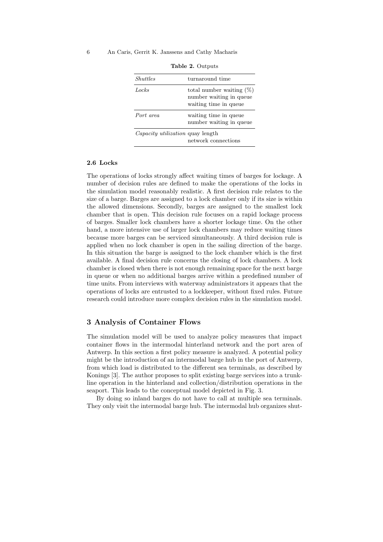| <i>Shuttles</i>                  | turnaround time                                                                 |
|----------------------------------|---------------------------------------------------------------------------------|
| Locks                            | total number waiting $(\%)$<br>number waiting in queue<br>waiting time in queue |
| Port area                        | waiting time in queue<br>number waiting in queue                                |
| Capacity utilization quay length | network connections                                                             |

| <b>Table 2. Outputs</b> |  |
|-------------------------|--|
|-------------------------|--|

#### 2.6 Locks

The operations of locks strongly affect waiting times of barges for lockage. A number of decision rules are defined to make the operations of the locks in the simulation model reasonably realistic. A first decision rule relates to the size of a barge. Barges are assigned to a lock chamber only if its size is within the allowed dimensions. Secondly, barges are assigned to the smallest lock chamber that is open. This decision rule focuses on a rapid lockage process of barges. Smaller lock chambers have a shorter lockage time. On the other hand, a more intensive use of larger lock chambers may reduce waiting times because more barges can be serviced simultaneously. A third decision rule is applied when no lock chamber is open in the sailing direction of the barge. In this situation the barge is assigned to the lock chamber which is the first available. A final decision rule concerns the closing of lock chambers. A lock chamber is closed when there is not enough remaining space for the next barge in queue or when no additional barges arrive within a predefined number of time units. From interviews with waterway administrators it appears that the operations of locks are entrusted to a lockkeeper, without fixed rules. Future research could introduce more complex decision rules in the simulation model.

# 3 Analysis of Container Flows

The simulation model will be used to analyze policy measures that impact container flows in the intermodal hinterland network and the port area of Antwerp. In this section a first policy measure is analyzed. A potential policy might be the introduction of an intermodal barge hub in the port of Antwerp, from which load is distributed to the different sea terminals, as described by Konings [3]. The author proposes to split existing barge services into a trunkline operation in the hinterland and collection/distribution operations in the seaport. This leads to the conceptual model depicted in Fig. 3.

By doing so inland barges do not have to call at multiple sea terminals. They only visit the intermodal barge hub. The intermodal hub organizes shut-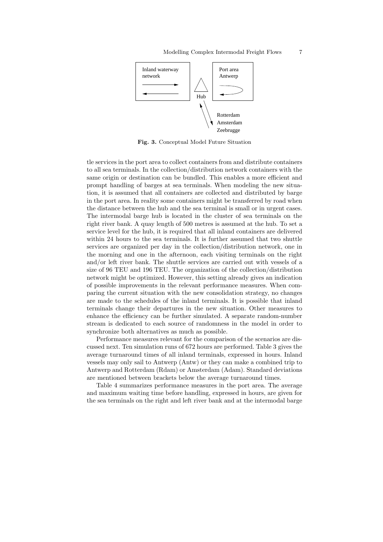

Fig. 3. Conceptual Model Future Situation

tle services in the port area to collect containers from and distribute containers to all sea terminals. In the collection/distribution network containers with the same origin or destination can be bundled. This enables a more efficient and prompt handling of barges at sea terminals. When modeling the new situation, it is assumed that all containers are collected and distributed by barge in the port area. In reality some containers might be transferred by road when the distance between the hub and the sea terminal is small or in urgent cases. The intermodal barge hub is located in the cluster of sea terminals on the right river bank. A quay length of 500 metres is assumed at the hub. To set a service level for the hub, it is required that all inland containers are delivered within 24 hours to the sea terminals. It is further assumed that two shuttle services are organized per day in the collection/distribution network, one in the morning and one in the afternoon, each visiting terminals on the right and/or left river bank. The shuttle services are carried out with vessels of a size of 96 TEU and 196 TEU. The organization of the collection/distribution network might be optimized. However, this setting already gives an indication of possible improvements in the relevant performance measures. When comparing the current situation with the new consolidation strategy, no changes are made to the schedules of the inland terminals. It is possible that inland terminals change their departures in the new situation. Other measures to enhance the efficiency can be further simulated. A separate random-number stream is dedicated to each source of randomness in the model in order to synchronize both alternatives as much as possible.

Performance measures relevant for the comparison of the scenarios are discussed next. Ten simulation runs of 672 hours are performed. Table 3 gives the average turnaround times of all inland terminals, expressed in hours. Inland vessels may only sail to Antwerp (Antw) or they can make a combined trip to Antwerp and Rotterdam (Rdam) or Amsterdam (Adam). Standard deviations are mentioned between brackets below the average turnaround times.

Table 4 summarizes performance measures in the port area. The average and maximum waiting time before handling, expressed in hours, are given for the sea terminals on the right and left river bank and at the intermodal barge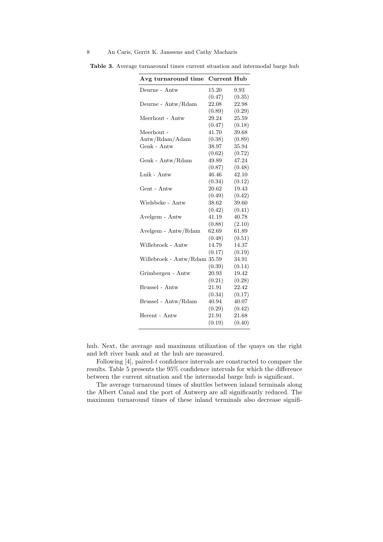| Avg turnaround time          | <b>Current Hub</b> |        |
|------------------------------|--------------------|--------|
| Deurne - Antw                | 15.20              | 9.93   |
|                              | (0.47)             | (0.35) |
| Deurne - Antw/Rdam           | 22.08              | 22.98  |
|                              | (0.89)             | (0.29) |
| Meerhout - Antw              | 29.24              | 25.59  |
|                              | (0.47)             | (0.18) |
| Meerhout -                   | 41.70              | 39.68  |
| Antw/Rdam/Adam               | (0.38)             | (0.89) |
| Genk - Antw                  | 38.97              | 35.94  |
|                              | (0.62)             | (0.72) |
| Genk - Antw/Rdam             | 49.89              | 47.24  |
|                              | (0.87)             | (0.48) |
| Luik - Antw                  | 46.46              | 42.10  |
|                              | (0.34)             | (0.12) |
| Gent - Antw                  | 20.62              | 19.43  |
|                              | (0.49)             | (0.42) |
| Wielsbeke - Antw             | 38.62              | 39.60  |
|                              | (0.42)             | (0.41) |
| Avelgem - Antw               | 41.19              | 40.78  |
|                              | (0.88)             | (2.10) |
| Avelgem - Antw/Rdam          | 62.69              | 61.89  |
|                              | (0.48)             | (0.51) |
| Willebroek - Antw            | 14.79              | 14.37  |
|                              | (0.17)             | (0.19) |
| Willebroek - Antw/Rdam 35.59 |                    | 34.91  |
|                              | (0.39)             | (0.14) |
| Grimbergen - Antw            | 20.93              | 19.42  |
|                              | (0.21)             | (0.28) |
| Brussel - Antw               | 21.91              | 22.42  |
|                              | (0.34)             | (0.17) |
| Brussel - Antw/Rdam          | 40.94              | 40.07  |
|                              | (0.29)             | (0.42) |
| Herent - Antw                | 21.91              | 21.68  |
|                              | (0.19)             | (0.40) |

Table 3. Average turnaround times current situation and intermodal barge hub

hub. Next, the average and maximum utilization of the quays on the right and left river bank and at the hub are measured.

Following  $[4]$ , paired-t confidence intervals are constructed to compare the results. Table 5 presents the 95% confidence intervals for which the difference between the current situation and the intermodal barge hub is significant.

The average turnaround times of shuttles between inland terminals along the Albert Canal and the port of Antwerp are all significantly reduced. The maximum turnaround times of these inland terminals also decrease signifi-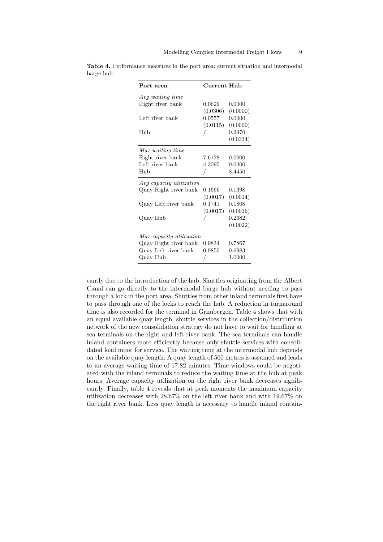| Port area                | Current Hub |          |
|--------------------------|-------------|----------|
| Avq waiting time         |             |          |
| Right river bank         | 0.0629      | 0.0000   |
|                          | (0.0306)    | (0.0000) |
| Left river bank          | 0.0557      | 0.0000   |
|                          | (0.0115)    | (0.0000) |
| Hub                      |             | 0.2970   |
|                          |             | (0.0334) |
| Max waiting time         |             |          |
| Right river bank         | 7.6128      | 0.0000   |
| Left river bank          | 4.3095      | 0.0000   |
| Hub                      |             | 8.4450   |
| Avg capacity utilization |             |          |
| Quay Right river bank    | 0.1666      | 0.1398   |
|                          | (0.0017)    | (0.0014) |
| Quay Left river bank     | 0.1741      | 0.1808   |
|                          | (0.0017)    | (0.0016) |
| Quay Hub                 |             | 0.2682   |
|                          |             | (0.0022) |
| Max capacity utilization |             |          |
| Quay Right river bank    | 0.9834      | 0.7867   |
| Quay Left river bank     | 0.9850      | 0.6983   |
| Quay Hub                 |             | 1.0000   |

Table 4. Performance measures in the port area: current situation and intermodal barge hub

cantly due to the introduction of the hub. Shuttles originating from the Albert Canal can go directly to the intermodal barge hub without needing to pass through a lock in the port area. Shuttles from other inland terminals first have to pass through one of the locks to reach the hub. A reduction in turnaround time is also recorded for the terminal in Grimbergen. Table 4 shows that with an equal available quay length, shuttle services in the collection/distribution network of the new consolidation strategy do not have to wait for handling at sea terminals on the right and left river bank. The sea terminals can handle inland containers more efficiently because only shuttle services with consolidated load moor for service. The waiting time at the intermodal hub depends on the available quay length. A quay length of 500 metres is assumed and leads to an average waiting time of 17.82 minutes. Time windows could be negotiated with the inland terminals to reduce the waiting time at the hub at peak hours. Average capacity utilization on the right river bank decreases significantly. Finally, table 4 reveals that at peak moments the maximum capacity utilization decreases with 28.67% on the left river bank and with 19.67% on the right river bank. Less quay length is necessary to handle inland contain-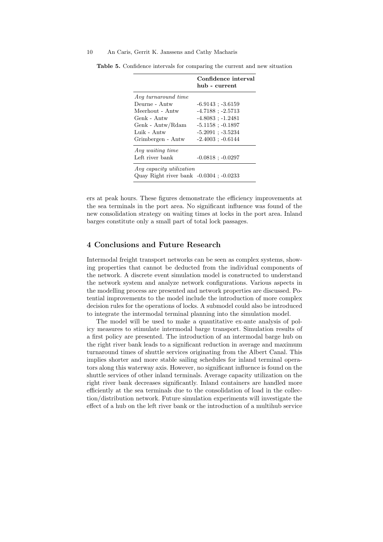|                                                                                | Confidence interval<br>hub - current |
|--------------------------------------------------------------------------------|--------------------------------------|
| Avg turnaround time                                                            |                                      |
| Deurne - Antw                                                                  | $-6.9143$ ; $-3.6159$                |
| Meerhout - Antw                                                                | $-4.7188$ ; $-2.5713$                |
| Genk - Antw                                                                    | $-4.8083:-1.2481$                    |
| Genk - Antw/Rdam                                                               | $-5.1158$ ; $-0.1897$                |
| Luik - Antw                                                                    | $-5.2091$ ; $-3.5234$                |
| Grimbergen - Antw                                                              | $-2.4003$ ; $-0.6144$                |
| <i>Avq waiting time</i>                                                        |                                      |
| Left river bank                                                                | $-0.0818$ ; $-0.0297$                |
| <i>Avq capacity utilization</i><br>Quay Right river bank $-0.0304$ ; $-0.0233$ |                                      |

Table 5. Confidence intervals for comparing the current and new situation

ers at peak hours. These figures demonstrate the efficiency improvements at the sea terminals in the port area. No significant influence was found of the new consolidation strategy on waiting times at locks in the port area. Inland barges constitute only a small part of total lock passages.

## 4 Conclusions and Future Research

Intermodal freight transport networks can be seen as complex systems, showing properties that cannot be deducted from the individual components of the network. A discrete event simulation model is constructed to understand the network system and analyze network configurations. Various aspects in the modelling process are presented and network properties are discussed. Potential improvements to the model include the introduction of more complex decision rules for the operations of locks. A submodel could also be introduced to integrate the intermodal terminal planning into the simulation model.

The model will be used to make a quantitative ex-ante analysis of policy measures to stimulate intermodal barge transport. Simulation results of a first policy are presented. The introduction of an intermodal barge hub on the right river bank leads to a significant reduction in average and maximum turnaround times of shuttle services originating from the Albert Canal. This implies shorter and more stable sailing schedules for inland terminal operators along this waterway axis. However, no significant influence is found on the shuttle services of other inland terminals. Average capacity utilization on the right river bank decreases significantly. Inland containers are handled more efficiently at the sea terminals due to the consolidation of load in the collection/distribution network. Future simulation experiments will investigate the effect of a hub on the left river bank or the introduction of a multihub service